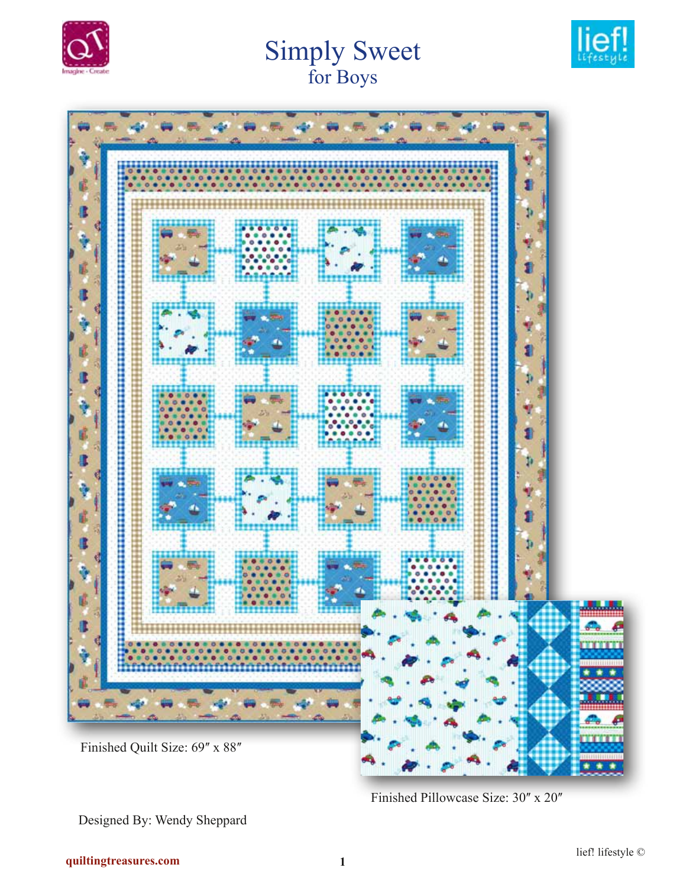

# **Simply Sweet** for Boys





Finished Pillowcase Size: 30" x 20"

Designed By: Wendy Sheppard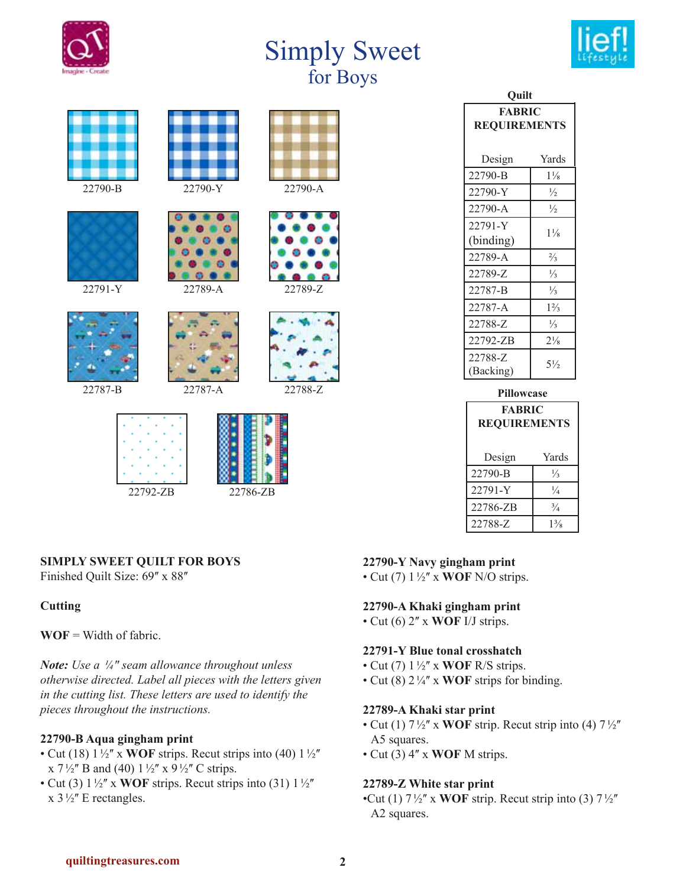

# Simply Sweet for Boys











22787-B 22787-A 22788-Z







22792-ZB 22786-ZB

| Ouilt                                |                |
|--------------------------------------|----------------|
| <b>FABRIC</b><br><b>REQUIREMENTS</b> |                |
| Design                               | Yards          |
| 22790-B                              | $1\frac{1}{8}$ |
| 22790-Y                              | $\frac{1}{2}$  |
| 22790-A                              | $\frac{1}{2}$  |
| 22791-Y                              | $1\frac{1}{8}$ |
| (binding)                            |                |
| 22789-A                              | $\frac{2}{3}$  |
| 22789-Z                              | $\frac{1}{3}$  |
| 22787-B                              | $\frac{1}{3}$  |
| 22787-A                              | $1\frac{2}{3}$ |
| 22788-Z                              | $\frac{1}{3}$  |
| 22792-ZB                             | $2\frac{1}{8}$ |
| 22788-Z<br>(Backing)                 | $5\frac{1}{2}$ |

| Pillowcase          |                |
|---------------------|----------------|
| <b>FABRIC</b>       |                |
| <b>REQUIREMENTS</b> |                |
|                     |                |
| Design              | Yards          |
| 22790-B             | $\frac{1}{3}$  |
| 22791-Y             | $\frac{1}{4}$  |
| 22786-ZB            | $^{3}/_{4}$    |
| 22788-Z             | $1\frac{3}{8}$ |

# **SIMPLY SWEET QUILT FOR BOYS**

Finished Quilt Size: 69" x 88"

## **Cutting**

**WOF** = Width of fabric.

*Note: Use a ¼ʺ seam allowance throughout unless otherwise directed. Label all pieces with the letters given in the cutting list. These letters are used to identify the pieces throughout the instructions.* 

### **22790-B Aqua gingham print**

- Cut (18)  $1\frac{1}{2}$  x **WOF** strips. Recut strips into (40)  $1\frac{1}{2}$ x  $7\frac{1}{2}$ " B and (40)  $1\frac{1}{2}$ " x  $9\frac{1}{2}$ " C strips.
- Cut (3)  $1\frac{1}{2}$  x **WOF** strips. Recut strips into (31)  $1\frac{1}{2}$  $x$  3½" E rectangles.

## **22790-Y Navy gingham print**

• Cut (7)  $1\frac{1}{2}$  x **WOF** N/O strips.

## **22790-A Khaki gingham print**

 $\cdot$  Cut (6)  $2''$  x **WOF** I/J strips.

## **22791-Y Blue tonal crosshatch**

- Cut (7)  $1\frac{1}{2}$  x **WOF** R/S strips.
- Cut (8)  $2\frac{1}{4}$  x **WOF** strips for binding.

### **22789-A Khaki star print**

- Cut (1)  $7\frac{1}{2}$ " x **WOF** strip. Recut strip into (4)  $7\frac{1}{2}$ " A5 squares.
- Cut (3) 4ʺ x **WOF** M strips.

### **22789-Z White star print**

•Cut (1)  $7\frac{1}{2}$ " x **WOF** strip. Recut strip into (3)  $7\frac{1}{2}$ " A2 squares.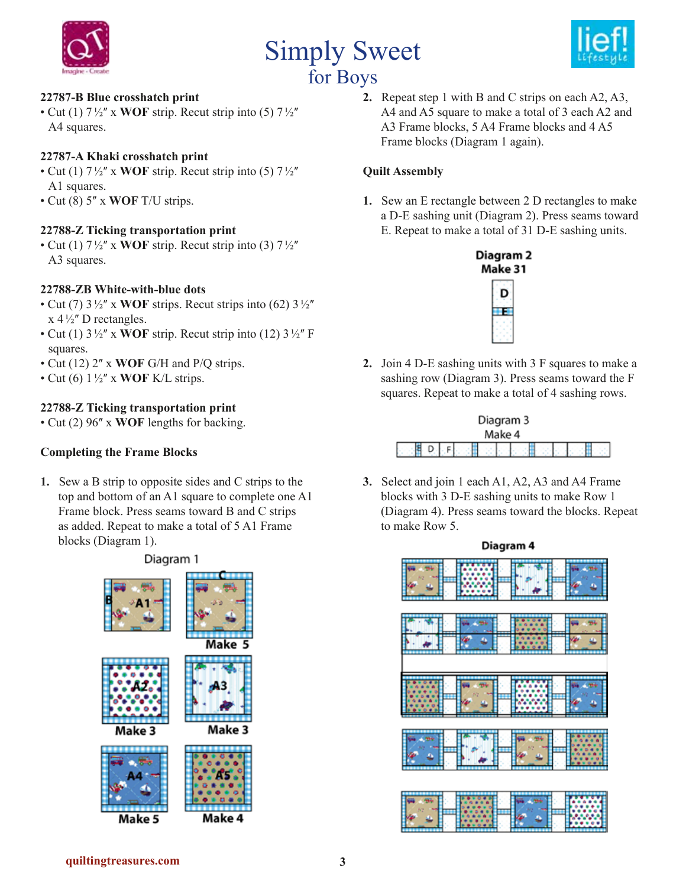

# Simply Sweet for Boys



### **22787-B Blue crosshatch print**

• Cut (1)  $7\frac{1}{2}$  x **WOF** strip. Recut strip into (5)  $7\frac{1}{2}$ A4 squares.

#### **22787-A Khaki crosshatch print**

- Cut (1)  $7\frac{1}{2}$ " x **WOF** strip. Recut strip into (5)  $7\frac{1}{2}$ " A1 squares.
- Cut (8) 5" x **WOF** T/U strips.

#### **22788-Z Ticking transportation print**

• Cut (1)  $7\frac{1}{2}$  x **WOF** strip. Recut strip into (3)  $7\frac{1}{2}$ A3 squares.

#### **22788-ZB White-with-blue dots**

- Cut (7)  $3\frac{1}{2}$  x **WOF** strips. Recut strips into (62)  $3\frac{1}{2}$  $x 4\frac{1}{2}$ " D rectangles.
- Cut (1)  $3\frac{1}{2}$ " x **WOF** strip. Recut strip into (12)  $3\frac{1}{2}$ " F squares.
- Cut (12) 2" x **WOF** G/H and P/Q strips.
- Cut (6)  $1\frac{1}{2}$ " x **WOF** K/L strips.

#### **22788-Z Ticking transportation print**

• Cut (2) 96" x **WOF** lengths for backing.

#### **Completing the Frame Blocks**

**1.** Sew a B strip to opposite sides and C strips to the top and bottom of an A1 square to complete one A1 Frame block. Press seams toward B and C strips as added. Repeat to make a total of 5 A1 Frame blocks (Diagram 1).



**2.** Repeat step 1 with B and C strips on each A2, A3, A4 and A5 square to make a total of 3 each A2 and A3 Frame blocks, 5 A4 Frame blocks and 4 A5 Frame blocks (Diagram 1 again).

#### **Quilt Assembly**

**1.** Sew an E rectangle between 2 D rectangles to make a D-E sashing unit (Diagram 2). Press seams toward E. Repeat to make a total of 31 D-E sashing units.



**2.** Join 4 D-E sashing units with 3 F squares to make a sashing row (Diagram 3). Press seams toward the F squares. Repeat to make a total of 4 sashing rows.



**3.** Select and join 1 each A1, A2, A3 and A4 Frame blocks with 3 D-E sashing units to make Row 1 (Diagram 4). Press seams toward the blocks. Repeat to make Row 5.



### **quiltingtreasures.com 3**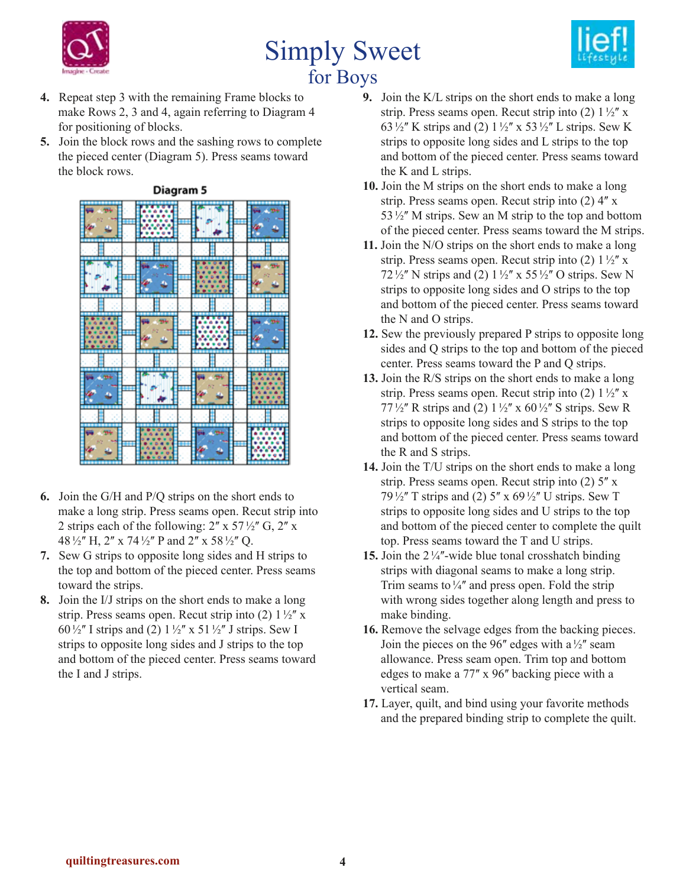

# Simply Sweet for Boys



- **4.** Repeat step 3 with the remaining Frame blocks to make Rows 2, 3 and 4, again referring to Diagram 4 for positioning of blocks.
- **5.** Join the block rows and the sashing rows to complete the pieced center (Diagram 5). Press seams toward the block rows.



Diagram 5

- **6.** Join the G/H and P/Q strips on the short ends to make a long strip. Press seams open. Recut strip into 2 strips each of the following:  $2'' \times 57\frac{1}{2}$  G,  $2'' \times$ 48  $\frac{1}{2}$ " H, 2" x 74  $\frac{1}{2}$ " P and 2" x 58  $\frac{1}{2}$ " Q.
- **7.** Sew G strips to opposite long sides and H strips to the top and bottom of the pieced center. Press seams toward the strips.
- **8.** Join the I/J strips on the short ends to make a long strip. Press seams open. Recut strip into (2)  $1\frac{1}{2}$  x 60 $\frac{1}{2}$ " I strips and (2)  $1\frac{1}{2}$ " x 51 $\frac{1}{2}$ " J strips. Sew I strips to opposite long sides and J strips to the top and bottom of the pieced center. Press seams toward the I and J strips.
- **9.** Join the K/L strips on the short ends to make a long strip. Press seams open. Recut strip into (2)  $1\frac{1}{2}$  x 63 $\frac{1}{2}$ " K strips and (2)  $1\frac{1}{2}$ " x 53 $\frac{1}{2}$ " L strips. Sew K strips to opposite long sides and L strips to the top and bottom of the pieced center. Press seams toward the K and L strips.
- **10.** Join the M strips on the short ends to make a long strip. Press seams open. Recut strip into  $(2)$  4" x 53 $\frac{1}{2}$ " M strips. Sew an M strip to the top and bottom of the pieced center. Press seams toward the M strips.
- **11.** Join the N/O strips on the short ends to make a long strip. Press seams open. Recut strip into (2)  $1\frac{1}{2}$ " x 72 $\frac{1}{2}$ " N strips and (2)  $1\frac{1}{2}$ " x 55 $\frac{1}{2}$ " O strips. Sew N strips to opposite long sides and O strips to the top and bottom of the pieced center. Press seams toward the N and O strips.
- **12.** Sew the previously prepared P strips to opposite long sides and Q strips to the top and bottom of the pieced center. Press seams toward the P and Q strips.
- **13.** Join the R/S strips on the short ends to make a long strip. Press seams open. Recut strip into (2)  $1\frac{1}{2}$  x 77 $\frac{1}{2}$ " R strips and (2)  $1\frac{1}{2}$ " x 60 $\frac{1}{2}$ " S strips. Sew R strips to opposite long sides and S strips to the top and bottom of the pieced center. Press seams toward the R and S strips.
- **14.** Join the T/U strips on the short ends to make a long strip. Press seams open. Recut strip into  $(2)$  5<sup> $\prime\prime$ </sup> x 79 $\frac{1}{2}$ " T strips and (2) 5" x 69 $\frac{1}{2}$ " U strips. Sew T strips to opposite long sides and U strips to the top and bottom of the pieced center to complete the quilt top. Press seams toward the T and U strips.
- **15.** Join the  $2\frac{1}{4}$ -wide blue tonal crosshatch binding strips with diagonal seams to make a long strip. Trim seams to  $\frac{1}{4}$  and press open. Fold the strip with wrong sides together along length and press to make binding.
- **16.** Remove the selvage edges from the backing pieces. Join the pieces on the 96" edges with a  $\frac{1}{2}$ " seam allowance. Press seam open. Trim top and bottom edges to make a 77" x 96" backing piece with a vertical seam.
- **17.** Layer, quilt, and bind using your favorite methods and the prepared binding strip to complete the quilt.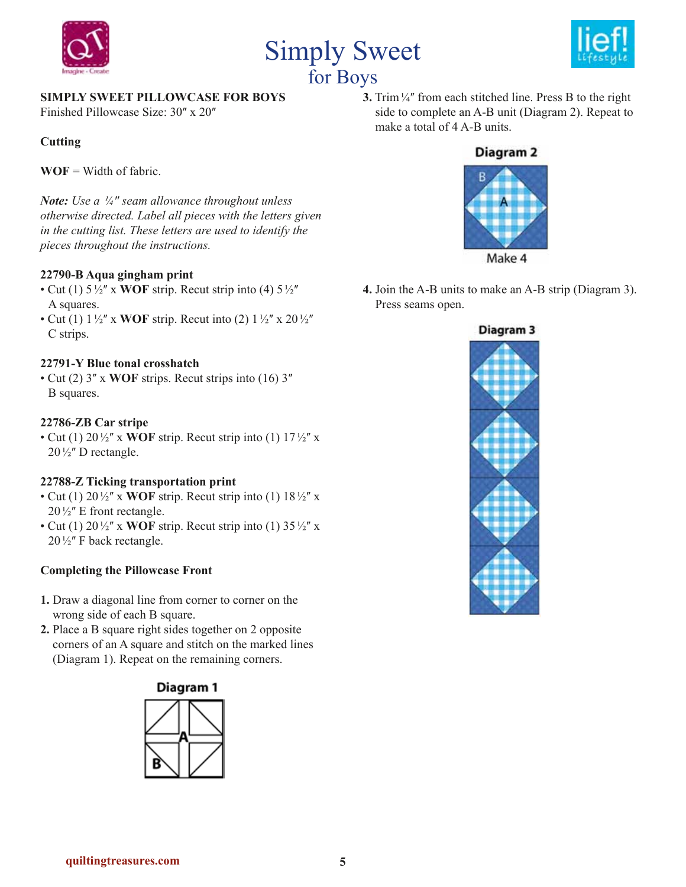





### **SIMPLY SWEET PILLOWCASE FOR BOYS**

Finished Pillowcase Size: 30" x 20"

#### **Cutting**

**WOF** = Width of fabric.

*Note: Use a ¼ʺ seam allowance throughout unless otherwise directed. Label all pieces with the letters given in the cutting list. These letters are used to identify the pieces throughout the instructions.* 

#### **22790-B Aqua gingham print**

- Cut (1)  $5\frac{1}{2}$ " x **WOF** strip. Recut strip into (4)  $5\frac{1}{2}$ " A squares.
- Cut (1)  $1\frac{1}{2}$  x **WOF** strip. Recut into (2)  $1\frac{1}{2}$  x  $20\frac{1}{2}$ C strips.

#### **22791-Y Blue tonal crosshatch**

• Cut (2)  $3''$  x **WOF** strips. Recut strips into (16)  $3''$ B squares.

#### **22786-ZB Car stripe**

• Cut (1)  $20\frac{1}{2}$  x **WOF** strip. Recut strip into (1)  $17\frac{1}{2}$  x  $20\frac{1}{2}$ " D rectangle.

#### **22788-Z Ticking transportation print**

- Cut (1)  $20\frac{1}{2}$  x **WOF** strip. Recut strip into (1)  $18\frac{1}{2}$  x  $20\frac{1}{2}$ " E front rectangle.
- Cut (1)  $20\frac{1}{2}$  x **WOF** strip. Recut strip into (1)  $35\frac{1}{2}$  x  $20\frac{1}{2}$ " F back rectangle.

#### **Completing the Pillowcase Front**

- **1.** Draw a diagonal line from corner to corner on the wrong side of each B square.
- **2.** Place a B square right sides together on 2 opposite corners of an A square and stitch on the marked lines (Diagram 1). Repeat on the remaining corners.





**3.** Trim<sup>1/4"</sup> from each stitched line. Press B to the right side to complete an A-B unit (Diagram 2). Repeat to make a total of 4 A-B units.

# Diagram<sub>2</sub>



**4.** Join the A-B units to make an A-B strip (Diagram 3). Press seams open.

#### Diagram<sub>3</sub>